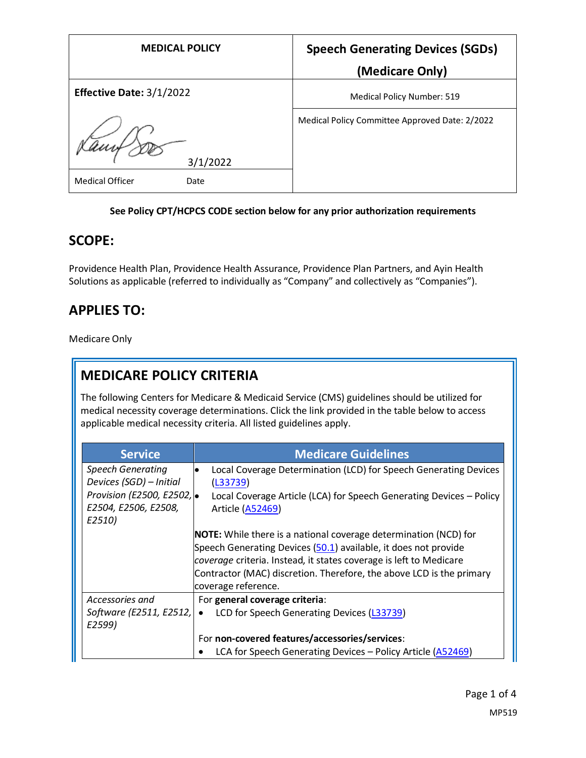| <b>MEDICAL POLICY</b>          | <b>Speech Generating Devices (SGDs)</b>        |
|--------------------------------|------------------------------------------------|
|                                | (Medicare Only)                                |
| Effective Date: 3/1/2022       | <b>Medical Policy Number: 519</b>              |
| 3/1/2022                       | Medical Policy Committee Approved Date: 2/2022 |
| <b>Medical Officer</b><br>Date |                                                |

#### **See Policy CPT/HCPCS CODE section below for any prior authorization requirements**

### **SCOPE:**

Providence Health Plan, Providence Health Assurance, Providence Plan Partners, and Ayin Health Solutions as applicable (referred to individually as "Company" and collectively as "Companies").

# **APPLIES TO:**

Medicare Only

# **MEDICARE POLICY CRITERIA**

The following Centers for Medicare & Medicaid Service (CMS) guidelines should be utilized for medical necessity coverage determinations. Click the link provided in the table below to access applicable medical necessity criteria. All listed guidelines apply.

| <b>Service</b>                                               | <b>Medicare Guidelines</b>                                                                                                                                                                                                                                                                                      |
|--------------------------------------------------------------|-----------------------------------------------------------------------------------------------------------------------------------------------------------------------------------------------------------------------------------------------------------------------------------------------------------------|
| <b>Speech Generating</b><br>Devices (SGD) - Initial          | Local Coverage Determination (LCD) for Speech Generating Devices<br>(L33739)                                                                                                                                                                                                                                    |
| Provision (E2500, E2502, .<br>E2504, E2506, E2508,<br>E2510) | Local Coverage Article (LCA) for Speech Generating Devices - Policy<br>Article (A52469)                                                                                                                                                                                                                         |
|                                                              | <b>NOTE:</b> While there is a national coverage determination (NCD) for<br>Speech Generating Devices (50.1) available, it does not provide<br>coverage criteria. Instead, it states coverage is left to Medicare<br>Contractor (MAC) discretion. Therefore, the above LCD is the primary<br>coverage reference. |
| Accessories and                                              | For general coverage criteria:                                                                                                                                                                                                                                                                                  |
| Software (E2511, E2512,<br>E2599)                            | LCD for Speech Generating Devices (L33739)<br>$\bullet$                                                                                                                                                                                                                                                         |
|                                                              | For non-covered features/accessories/services:                                                                                                                                                                                                                                                                  |
|                                                              | LCA for Speech Generating Devices - Policy Article (A52469)                                                                                                                                                                                                                                                     |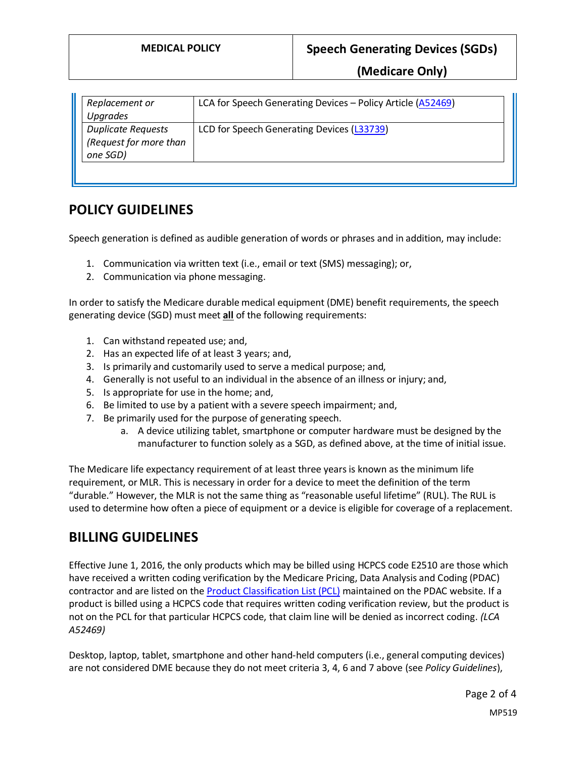**(Medicare Only)**

| Replacement or<br>Upgrades                                      | LCA for Speech Generating Devices - Policy Article (A52469) |
|-----------------------------------------------------------------|-------------------------------------------------------------|
| <b>Duplicate Requests</b><br>(Request for more than<br>one SGD) | LCD for Speech Generating Devices (L33739)                  |

## **POLICY GUIDELINES**

Speech generation is defined as audible generation of words or phrases and in addition, may include:

- 1. Communication via written text (i.e., email or text (SMS) messaging); or,
- 2. Communication via phone messaging.

In order to satisfy the Medicare durable medical equipment (DME) benefit requirements, the speech generating device (SGD) must meet **all** of the following requirements:

- 1. Can withstand repeated use; and,
- 2. Has an expected life of at least 3 years; and,
- 3. Is primarily and customarily used to serve a medical purpose; and,
- 4. Generally is not useful to an individual in the absence of an illness or injury; and,
- 5. Is appropriate for use in the home; and,
- 6. Be limited to use by a patient with a severe speech impairment; and,
- 7. Be primarily used for the purpose of generating speech.
	- a. A device utilizing tablet, smartphone or computer hardware must be designed by the manufacturer to function solely as a SGD, as defined above, at the time of initial issue.

The Medicare life expectancy requirement of at least three yearsis known as the minimum life requirement, or MLR. This is necessary in order for a device to meet the definition of the term "durable." However, the MLR is not the same thing as "reasonable useful lifetime" (RUL). The RUL is used to determine how often a piece of equipment or a device is eligible for coverage of a replacement.

### **BILLING GUIDELINES**

Effective June 1, 2016, the only products which may be billed using HCPCS code E2510 are those which have received a written coding verification by the Medicare Pricing, Data Analysis and Coding (PDAC) contractor and are listed on the [Product Classification List \(PCL\)](https://www4.palmettogba.com/pdac_dmecs/initProductClassificationResults.do) maintained on the PDAC website. If a product is billed using a HCPCS code that requires written coding verification review, but the product is not on the PCL for that particular HCPCS code, that claim line will be denied as incorrect coding. *(LCA A52469)*

Desktop, laptop, tablet, smartphone and other hand-held computers (i.e., general computing devices) are not considered DME because they do not meet criteria 3, 4, 6 and 7 above (see *Policy Guidelines*),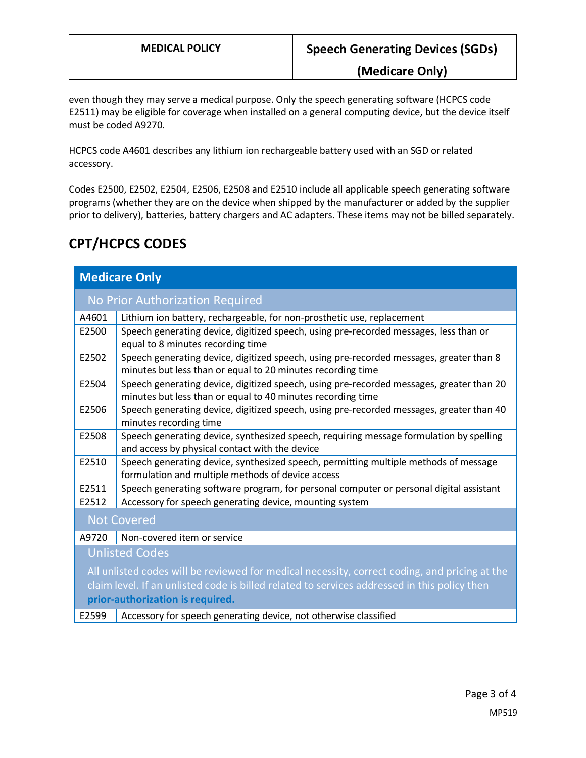**(Medicare Only)**

even though they may serve a medical purpose. Only the speech generating software (HCPCS code E2511) may be eligible for coverage when installed on a general computing device, but the device itself must be coded A9270.

HCPCS code A4601 describes any lithium ion rechargeable battery used with an SGD or related accessory.

Codes E2500, E2502, E2504, E2506, E2508 and E2510 include all applicable speech generating software programs (whether they are on the device when shipped by the manufacturer or added by the supplier prior to delivery), batteries, battery chargers and AC adapters. These items may not be billed separately.

# **CPT/HCPCS CODES**

| <b>Medicare Only</b>                                                                          |                                                                                                                                                         |  |
|-----------------------------------------------------------------------------------------------|---------------------------------------------------------------------------------------------------------------------------------------------------------|--|
|                                                                                               | No Prior Authorization Required                                                                                                                         |  |
| A4601                                                                                         | Lithium ion battery, rechargeable, for non-prosthetic use, replacement                                                                                  |  |
| E2500                                                                                         | Speech generating device, digitized speech, using pre-recorded messages, less than or<br>equal to 8 minutes recording time                              |  |
| E2502                                                                                         | Speech generating device, digitized speech, using pre-recorded messages, greater than 8<br>minutes but less than or equal to 20 minutes recording time  |  |
| E2504                                                                                         | Speech generating device, digitized speech, using pre-recorded messages, greater than 20<br>minutes but less than or equal to 40 minutes recording time |  |
| E2506                                                                                         | Speech generating device, digitized speech, using pre-recorded messages, greater than 40<br>minutes recording time                                      |  |
| E2508                                                                                         | Speech generating device, synthesized speech, requiring message formulation by spelling<br>and access by physical contact with the device               |  |
| E2510                                                                                         | Speech generating device, synthesized speech, permitting multiple methods of message<br>formulation and multiple methods of device access               |  |
| E2511                                                                                         | Speech generating software program, for personal computer or personal digital assistant                                                                 |  |
| E2512                                                                                         | Accessory for speech generating device, mounting system                                                                                                 |  |
| <b>Not Covered</b>                                                                            |                                                                                                                                                         |  |
| A9720                                                                                         | Non-covered item or service                                                                                                                             |  |
| <b>Unlisted Codes</b>                                                                         |                                                                                                                                                         |  |
| All unlisted codes will be reviewed for medical necessity, correct coding, and pricing at the |                                                                                                                                                         |  |
| claim level. If an unlisted code is billed related to services addressed in this policy then  |                                                                                                                                                         |  |
| prior-authorization is required.                                                              |                                                                                                                                                         |  |
| E2599                                                                                         | Accessory for speech generating device, not otherwise classified                                                                                        |  |
|                                                                                               |                                                                                                                                                         |  |